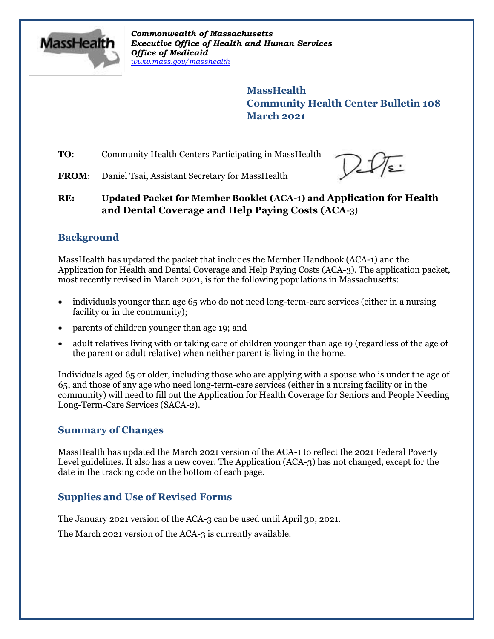

*Commonwealth of Massachusetts Executive Office of Health and Human Services Office of Medicaid [www.mass.gov/masshealth](http://www.mass.gov/masshealth)*

> **MassHealth Community Health Center Bulletin 108 March 2021**

**TO:** Community Health Centers Participating in MassHealth

 $2\sqrt{\epsilon}$ 

FROM: Daniel Tsai, Assistant Secretary for MassHealth

**RE: Updated Packet for Member Booklet (ACA-1) and Application for Health and Dental Coverage and Help Paying Costs (ACA**-3)

## **Background**

MassHealth has updated the packet that includes the Member Handbook (ACA-1) and the Application for Health and Dental Coverage and Help Paying Costs (ACA-3). The application packet, most recently revised in March 2021, is for the following populations in Massachusetts:

- individuals younger than age 65 who do not need long-term-care services (either in a nursing facility or in the community);
- parents of children younger than age 19; and
- adult relatives living with or taking care of children younger than age 19 (regardless of the age of the parent or adult relative) when neither parent is living in the home.

Individuals aged 65 or older, including those who are applying with a spouse who is under the age of 65, and those of any age who need long-term-care services (either in a nursing facility or in the community) will need to fill out the Application for Health Coverage for Seniors and People Needing Long-Term-Care Services (SACA-2).

### **Summary of Changes**

MassHealth has updated the March 2021 version of the ACA-1 to reflect the 2021 Federal Poverty Level guidelines. It also has a new cover. The Application (ACA-3) has not changed, except for the date in the tracking code on the bottom of each page.

## **Supplies and Use of Revised Forms**

The January 2021 version of the ACA-3 can be used until April 30, 2021.

The March 2021 version of the ACA-3 is currently available.